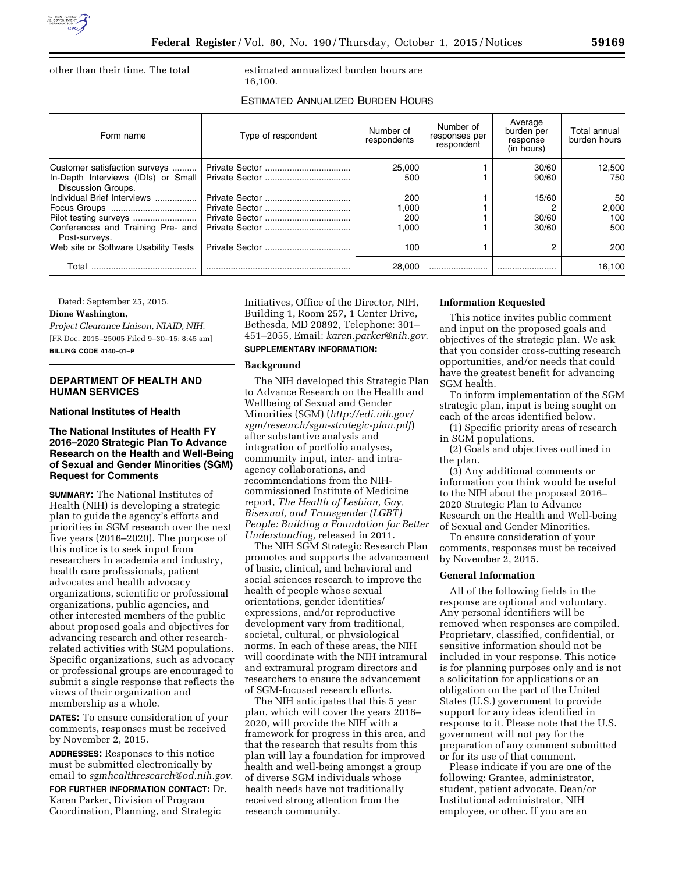

other than their time. The total estimated annualized burden hours are 16,100.

# ESTIMATED ANNUALIZED BURDEN HOURS

| Form name                                                 | Type of respondent | Number of<br>respondents | Number of<br>responses per<br>respondent | Average<br>burden per<br>response<br>(in hours) | Total annual<br>burden hours |
|-----------------------------------------------------------|--------------------|--------------------------|------------------------------------------|-------------------------------------------------|------------------------------|
| Customer satisfaction surveys                             |                    | 25,000                   |                                          | 30/60                                           | 12.500                       |
| In-Depth Interviews (IDIs) or Small<br>Discussion Groups. |                    | 500                      |                                          | 90/60                                           | 750                          |
| Individual Brief Interviews                               |                    | 200                      |                                          | 15/60                                           | 50                           |
|                                                           |                    | .000                     |                                          |                                                 | 2.000                        |
|                                                           |                    | 200                      |                                          | 30/60                                           | 100                          |
| Conferences and Training Pre- and<br>Post-survevs.        |                    | 1.000                    |                                          | 30/60                                           | 500                          |
| Web site or Software Usability Tests                      |                    | 100                      |                                          | റ                                               | 200                          |
| Total                                                     |                    | 28,000                   |                                          |                                                 | 16.100                       |

Dated: September 25, 2015.

## **Dione Washington,**

*Project Clearance Liaison, NIAID, NIH.*  [FR Doc. 2015–25005 Filed 9–30–15; 8:45 am] **BILLING CODE 4140–01–P** 

# **DEPARTMENT OF HEALTH AND HUMAN SERVICES**

#### **National Institutes of Health**

## **The National Institutes of Health FY 2016–2020 Strategic Plan To Advance Research on the Health and Well-Being of Sexual and Gender Minorities (SGM) Request for Comments**

**SUMMARY:** The National Institutes of Health (NIH) is developing a strategic plan to guide the agency's efforts and priorities in SGM research over the next five years (2016–2020). The purpose of this notice is to seek input from researchers in academia and industry, health care professionals, patient advocates and health advocacy organizations, scientific or professional organizations, public agencies, and other interested members of the public about proposed goals and objectives for advancing research and other researchrelated activities with SGM populations. Specific organizations, such as advocacy or professional groups are encouraged to submit a single response that reflects the views of their organization and membership as a whole.

**DATES:** To ensure consideration of your comments, responses must be received by November 2, 2015.

**ADDRESSES:** Responses to this notice must be submitted electronically by email to *[sgmhealthresearch@od.nih.gov.](mailto:sgmhealthresearch@od.nih.gov)* 

**FOR FURTHER INFORMATION CONTACT:** Dr. Karen Parker, Division of Program Coordination, Planning, and Strategic

Initiatives, Office of the Director, NIH, Building 1, Room 257, 1 Center Drive, Bethesda, MD 20892, Telephone: 301– 451–2055, Email: *[karen.parker@nih.gov.](mailto:karen.parker@nih.gov)* 

# **SUPPLEMENTARY INFORMATION:**

#### **Background**

The NIH developed this Strategic Plan to Advance Research on the Health and Wellbeing of Sexual and Gender Minorities (SGM) (*[http://edi.nih.gov/](http://edi.nih.gov/sgm/research/sgm-strategic-plan.pdf) [sgm/research/sgm-strategic-plan.pdf](http://edi.nih.gov/sgm/research/sgm-strategic-plan.pdf)*) after substantive analysis and integration of portfolio analyses, community input, inter- and intraagency collaborations, and recommendations from the NIHcommissioned Institute of Medicine report, *The Health of Lesbian, Gay, Bisexual, and Transgender (LGBT) People: Building a Foundation for Better Understanding,* released in 2011.

The NIH SGM Strategic Research Plan promotes and supports the advancement of basic, clinical, and behavioral and social sciences research to improve the health of people whose sexual orientations, gender identities/ expressions, and/or reproductive development vary from traditional, societal, cultural, or physiological norms. In each of these areas, the NIH will coordinate with the NIH intramural and extramural program directors and researchers to ensure the advancement of SGM-focused research efforts.

The NIH anticipates that this 5 year plan, which will cover the years 2016– 2020, will provide the NIH with a framework for progress in this area, and that the research that results from this plan will lay a foundation for improved health and well-being amongst a group of diverse SGM individuals whose health needs have not traditionally received strong attention from the research community.

#### **Information Requested**

This notice invites public comment and input on the proposed goals and objectives of the strategic plan. We ask that you consider cross-cutting research opportunities, and/or needs that could have the greatest benefit for advancing SGM health.

To inform implementation of the SGM strategic plan, input is being sought on each of the areas identified below.

(1) Specific priority areas of research in SGM populations.

(2) Goals and objectives outlined in the plan.

(3) Any additional comments or information you think would be useful to the NIH about the proposed 2016– 2020 Strategic Plan to Advance Research on the Health and Well-being of Sexual and Gender Minorities.

To ensure consideration of your comments, responses must be received by November 2, 2015.

### **General Information**

All of the following fields in the response are optional and voluntary. Any personal identifiers will be removed when responses are compiled. Proprietary, classified, confidential, or sensitive information should not be included in your response. This notice is for planning purposes only and is not a solicitation for applications or an obligation on the part of the United States (U.S.) government to provide support for any ideas identified in response to it. Please note that the U.S. government will not pay for the preparation of any comment submitted or for its use of that comment.

Please indicate if you are one of the following: Grantee, administrator, student, patient advocate, Dean/or Institutional administrator, NIH employee, or other. If you are an